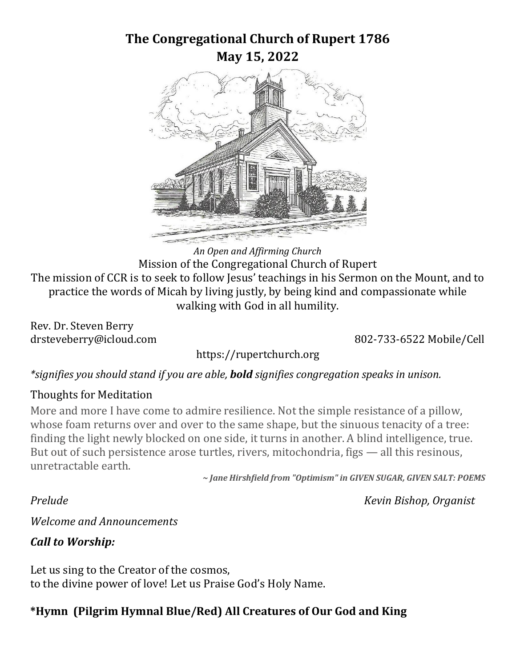### **The Congregational Church of Rupert 1786 May 15, 2022**



*An Open and Affirming Church* Mission of the Congregational Church of Rupert The mission of CCR is to seek to follow Jesus' teachings in his Sermon on the Mount, and to practice the words of Micah by living justly, by being kind and compassionate while walking with God in all humility.

Rev. Dr. Steven Berry

drsteveberry@icloud.com 802-733-6522 Mobile/Cell

https://rupertchurch.org

*\*signifies you should stand if you are able, bold signifies congregation speaks in unison.* 

#### Thoughts for Meditation

More and more I have come to admire resilience. Not the simple resistance of a pillow, whose foam returns over and over to the same shape, but the sinuous tenacity of a tree: finding the light newly blocked on one side, it turns in another. A blind intelligence, true. But out of such persistence arose turtles, rivers, mitochondria, figs — all this resinous, unretractable earth.

*~ Jane Hirshfield from "Optimism" in GIVEN SUGAR, GIVEN SALT: POEMS*

*Prelude Kevin Bishop, Organist*

*Welcome and Announcements*

### *Call to Worship:*

Let us sing to the Creator of the cosmos, to the divine power of love! Let us Praise God's Holy Name.

### **\*Hymn (Pilgrim Hymnal Blue/Red) All Creatures of Our God and King**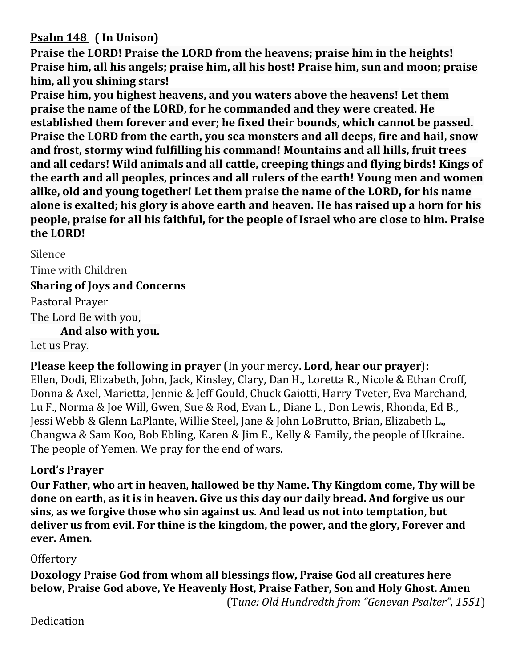#### **Psalm 148 ( In Unison)**

**Praise the LORD! Praise the LORD from the heavens; praise him in the heights! Praise him, all his angels; praise him, all his host! Praise him, sun and moon; praise him, all you shining stars!**

**Praise him, you highest heavens, and you waters above the heavens! Let them praise the name of the LORD, for he commanded and they were created. He established them forever and ever; he fixed their bounds, which cannot be passed. Praise the LORD from the earth, you sea monsters and all deeps, fire and hail, snow and frost, stormy wind fulfilling his command! Mountains and all hills, fruit trees and all cedars! Wild animals and all cattle, creeping things and flying birds! Kings of the earth and all peoples, princes and all rulers of the earth! Young men and women alike, old and young together! Let them praise the name of the LORD, for his name alone is exalted; his glory is above earth and heaven. He has raised up a horn for his people, praise for all his faithful, for the people of Israel who are close to him. Praise the LORD!**

Silence Time with Children **Sharing of Joys and Concerns**  Pastoral Prayer The Lord Be with you, **And also with you.** Let us Pray.

**Please keep the following in prayer** (In your mercy. **Lord, hear our prayer**)**:**

Ellen, Dodi, Elizabeth, John, Jack, Kinsley, Clary, Dan H., Loretta R., Nicole & Ethan Croff, Donna & Axel, Marietta, Jennie & Jeff Gould, Chuck Gaiotti, Harry Tveter, Eva Marchand, Lu F., Norma & Joe Will, Gwen, Sue & Rod, Evan L., Diane L., Don Lewis, Rhonda, Ed B., Jessi Webb & Glenn LaPlante, Willie Steel, Jane & John LoBrutto, Brian, Elizabeth L., Changwa & Sam Koo, Bob Ebling, Karen & Jim E., Kelly & Family, the people of Ukraine. The people of Yemen. We pray for the end of wars.

#### **Lord's Prayer**

**Our Father, who art in heaven, hallowed be thy Name. Thy Kingdom come, Thy will be done on earth, as it is in heaven. Give us this day our daily bread. And forgive us our sins, as we forgive those who sin against us. And lead us not into temptation, but deliver us from evil. For thine is the kingdom, the power, and the glory, Forever and ever. Amen.**

#### **Offertory**

**Doxology Praise God from whom all blessings flow, Praise God all creatures here below, Praise God above, Ye Heavenly Host, Praise Father, Son and Holy Ghost. Amen** (T*une: Old Hundredth from "Genevan Psalter", 1551*)

Dedication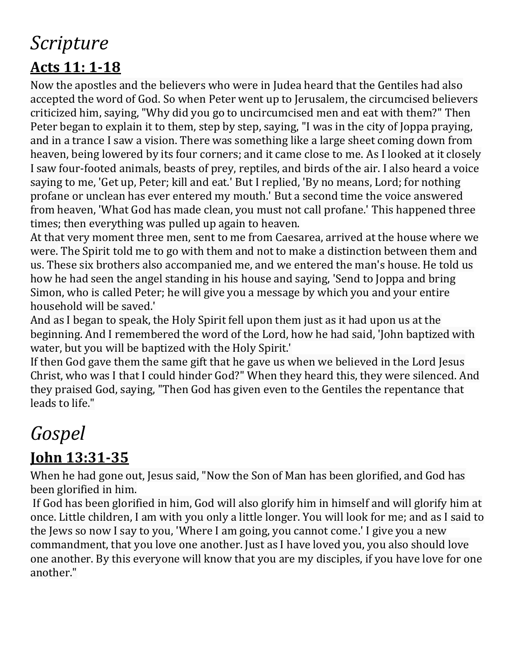# *Scripture*  **Acts 11: 1-18**

Now the apostles and the believers who were in Judea heard that the Gentiles had also accepted the word of God. So when Peter went up to Jerusalem, the circumcised believers criticized him, saying, "Why did you go to uncircumcised men and eat with them?" Then Peter began to explain it to them, step by step, saying, "I was in the city of Joppa praying, and in a trance I saw a vision. There was something like a large sheet coming down from heaven, being lowered by its four corners; and it came close to me. As I looked at it closely I saw four-footed animals, beasts of prey, reptiles, and birds of the air. I also heard a voice saying to me, 'Get up, Peter; kill and eat.' But I replied, 'By no means, Lord; for nothing profane or unclean has ever entered my mouth.' But a second time the voice answered from heaven, 'What God has made clean, you must not call profane.' This happened three times; then everything was pulled up again to heaven.

At that very moment three men, sent to me from Caesarea, arrived at the house where we were. The Spirit told me to go with them and not to make a distinction between them and us. These six brothers also accompanied me, and we entered the man's house. He told us how he had seen the angel standing in his house and saying, 'Send to Joppa and bring Simon, who is called Peter; he will give you a message by which you and your entire household will be saved.'

And as I began to speak, the Holy Spirit fell upon them just as it had upon us at the beginning. And I remembered the word of the Lord, how he had said, 'John baptized with water, but you will be baptized with the Holy Spirit.'

If then God gave them the same gift that he gave us when we believed in the Lord Jesus Christ, who was I that I could hinder God?" When they heard this, they were silenced. And they praised God, saying, "Then God has given even to the Gentiles the repentance that leads to life."

# *Gospel*

# **John 13:31-35**

When he had gone out, Jesus said, "Now the Son of Man has been glorified, and God has been glorified in him.

If God has been glorified in him, God will also glorify him in himself and will glorify him at once. Little children, I am with you only a little longer. You will look for me; and as I said to the Jews so now I say to you, 'Where I am going, you cannot come.' I give you a new commandment, that you love one another. Just as I have loved you, you also should love one another. By this everyone will know that you are my disciples, if you have love for one another."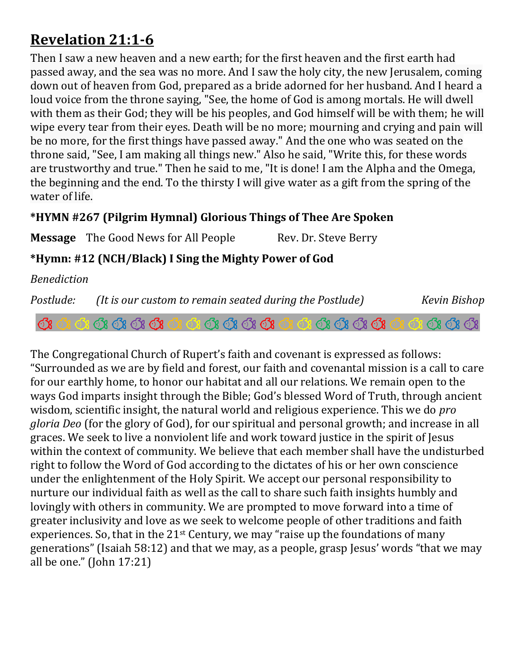## **Revelation 21:1-6**

Then I saw a new heaven and a new earth; for the first heaven and the first earth had passed away, and the sea was no more. And I saw the holy city, the new Jerusalem, coming down out of heaven from God, prepared as a bride adorned for her husband. And I heard a loud voice from the throne saying, "See, the home of God is among mortals. He will dwell with them as their God; they will be his peoples, and God himself will be with them; he will wipe every tear from their eyes. Death will be no more; mourning and crying and pain will be no more, for the first things have passed away." And the one who was seated on the throne said, "See, I am making all things new." Also he said, "Write this, for these words are trustworthy and true." Then he said to me, "It is done! I am the Alpha and the Omega, the beginning and the end. To the thirsty I will give water as a gift from the spring of the water of life.

#### **\*HYMN #267 (Pilgrim Hymnal) Glorious Things of Thee Are Spoken**

**Message** The Good News for All People Rev. Dr. Steve Berry

#### **\*Hymn: #12 (NCH/Black) I Sing the Mighty Power of God**

*Benediction* 

*Postlude:* (It is our custom to remain seated during the Postlude) Kevin Bishop 

The Congregational Church of Rupert's faith and covenant is expressed as follows: "Surrounded as we are by field and forest, our faith and covenantal mission is a call to care for our earthly home, to honor our habitat and all our relations. We remain open to the ways God imparts insight through the Bible; God's blessed Word of Truth, through ancient wisdom, scientific insight, the natural world and religious experience. This we do *pro gloria Deo* (for the glory of God), for our spiritual and personal growth; and increase in all graces. We seek to live a nonviolent life and work toward justice in the spirit of Jesus within the context of community. We believe that each member shall have the undisturbed right to follow the Word of God according to the dictates of his or her own conscience under the enlightenment of the Holy Spirit. We accept our personal responsibility to nurture our individual faith as well as the call to share such faith insights humbly and lovingly with others in community. We are prompted to move forward into a time of greater inclusivity and love as we seek to welcome people of other traditions and faith experiences. So, that in the 21st Century, we may "raise up the foundations of many generations" (Isaiah 58:12) and that we may, as a people, grasp Jesus' words "that we may all be one." (John 17:21)